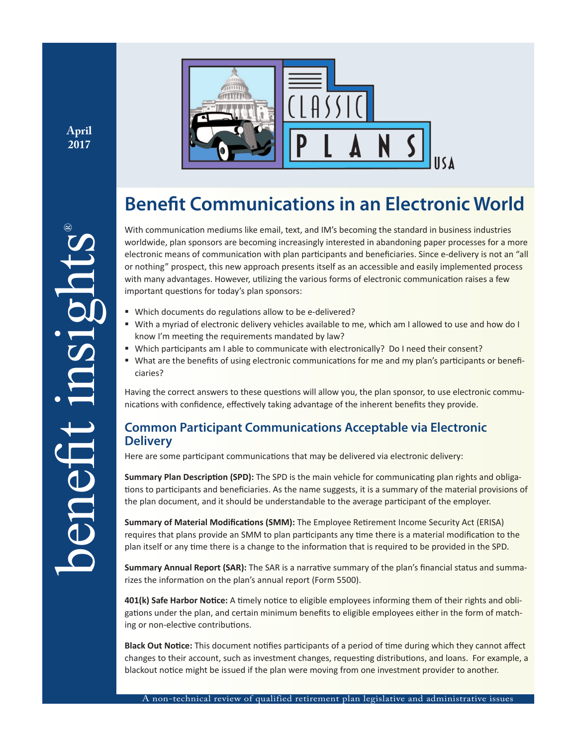**April 2017**



# **Benefit Communications in an Electronic World**

With communication mediums like email, text, and IM's becoming the standard in business industries worldwide, plan sponsors are becoming increasingly interested in abandoning paper processes for a more electronic means of communication with plan participants and beneficiaries. Since e-delivery is not an "all or nothing" prospect, this new approach presents itself as an accessible and easily implemented process with many advantages. However, utilizing the various forms of electronic communication raises a few important questions for today's plan sponsors:

- Which documents do regulations allow to be e-delivered?
- With a myriad of electronic delivery vehicles available to me, which am I allowed to use and how do I know I'm meeting the requirements mandated by law?
- Which participants am I able to communicate with electronically? Do I need their consent?
- " What are the benefits of using electronic communications for me and my plan's participants or beneficiaries?

Having the correct answers to these questions will allow you, the plan sponsor, to use electronic communications with confidence, effectively taking advantage of the inherent benefits they provide.

# **Common Participant Communications Acceptable via Electronic Delivery**

Here are some participant communications that may be delivered via electronic delivery:

**Summary Plan Description (SPD):** The SPD is the main vehicle for communicating plan rights and obligations to participants and beneficiaries. As the name suggests, it is a summary of the material provisions of the plan document, and it should be understandable to the average participant of the employer.

**Summary of Material Modifications (SMM):** The Employee Retirement Income Security Act (ERISA) requires that plans provide an SMM to plan participants any time there is a material modification to the plan itself or any time there is a change to the information that is required to be provided in the SPD.

**Summary Annual Report (SAR):** The SAR is a narrative summary of the plan's financial status and summarizes the information on the plan's annual report (Form 5500).

**401(k) Safe Harbor Notice:** A timely notice to eligible employees informing them of their rights and obligations under the plan, and certain minimum benefits to eligible employees either in the form of matching or non-elective contributions.

**Black Out Notice:** This document notifies participants of a period of time during which they cannot affect changes to their account, such as investment changes, requesting distributions, and loans. For example, a blackout notice might be issued if the plan were moving from one investment provider to another.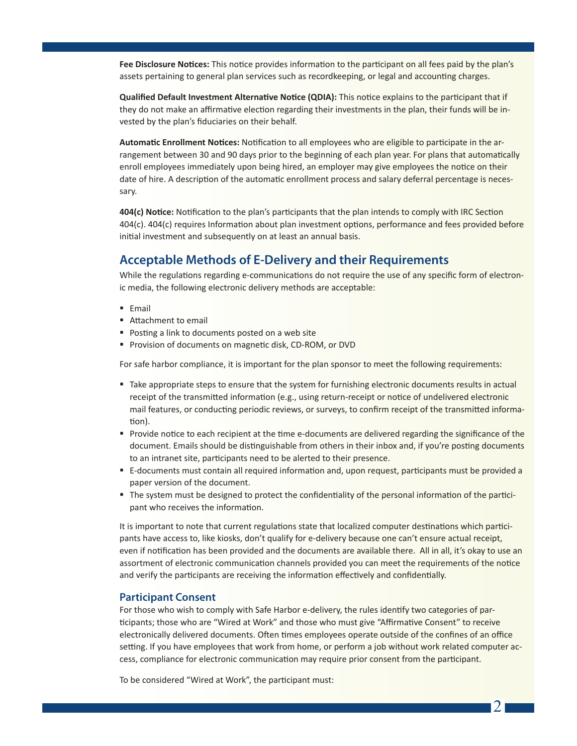**Fee Disclosure Notices:** This notice provides information to the participant on all fees paid by the plan's assets pertaining to general plan services such as recordkeeping, or legal and accounting charges.

**Qualified Default Investment Alternative Notice (QDIA):** This notice explains to the participant that if they do not make an affirmative election regarding their investments in the plan, their funds will be invested by the plan's fiduciaries on their behalf.

**Automatic Enrollment Notices:** Notification to all employees who are eligible to participate in the arrangement between 30 and 90 days prior to the beginning of each plan year. For plans that automatically enroll employees immediately upon being hired, an employer may give employees the notice on their date of hire. A description of the automatic enrollment process and salary deferral percentage is necessary.

**404(c) Notice:** Notification to the plan's participants that the plan intends to comply with IRC Section 404(c). 404(c) requires Information about plan investment options, performance and fees provided before initial investment and subsequently on at least an annual basis.

# **Acceptable Methods of E-Delivery and their Requirements**

While the regulations regarding e-communications do not require the use of any specific form of electronic media, the following electronic delivery methods are acceptable:

- **Email**
- Attachment to email
- **Posting a link to documents posted on a web site**
- Provision of documents on magnetic disk, CD-ROM, or DVD

For safe harbor compliance, it is important for the plan sponsor to meet the following requirements:

- Take appropriate steps to ensure that the system for furnishing electronic documents results in actual receipt of the transmitted information (e.g., using return-receipt or notice of undelivered electronic mail features, or conducting periodic reviews, or surveys, to confirm receipt of the transmitted information).
- **Provide notice to each recipient at the time e-documents are delivered regarding the significance of the** document. Emails should be distinguishable from others in their inbox and, if you're posting documents to an intranet site, participants need to be alerted to their presence.
- E-documents must contain all required information and, upon request, participants must be provided a paper version of the document.
- The system must be designed to protect the confidentiality of the personal information of the participant who receives the information.

It is important to note that current regulations state that localized computer destinations which participants have access to, like kiosks, don't qualify for e-delivery because one can't ensure actual receipt, even if notification has been provided and the documents are available there. All in all, it's okay to use an assortment of electronic communication channels provided you can meet the requirements of the notice and verify the participants are receiving the information effectively and confidentially.

#### **Participant Consent**

For those who wish to comply with Safe Harbor e-delivery, the rules identify two categories of participants; those who are "Wired at Work" and those who must give "Affirmative Consent" to receive electronically delivered documents. Often times employees operate outside of the confines of an office setting. If you have employees that work from home, or perform a job without work related computer access, compliance for electronic communication may require prior consent from the participant.

To be considered "Wired at Work", the participant must:

 $\mathcal{D}$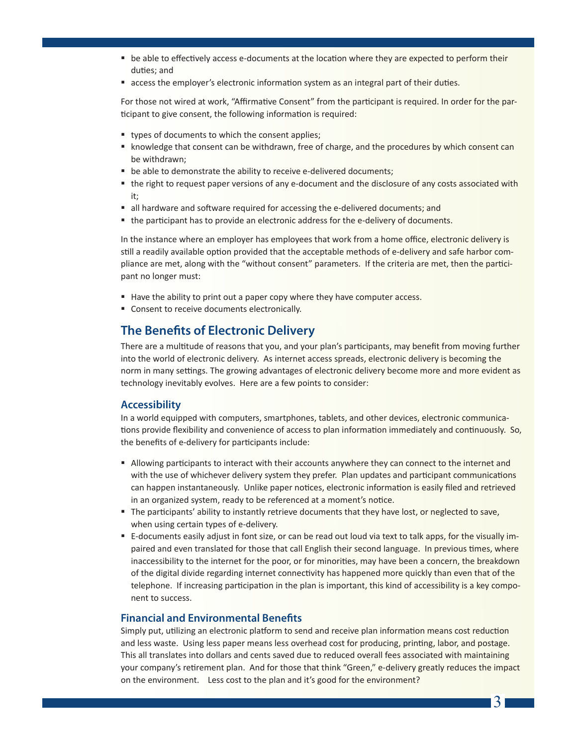- be able to effectively access e-documents at the location where they are expected to perform their duties; and
- **access the employer's electronic information system as an integral part of their duties.**

For those not wired at work, "Affirmative Consent" from the participant is required. In order for the participant to give consent, the following information is required:

- types of documents to which the consent applies;
- **K** knowledge that consent can be withdrawn, free of charge, and the procedures by which consent can be withdrawn;
- be able to demonstrate the ability to receive e-delivered documents;
- the right to request paper versions of any e-document and the disclosure of any costs associated with it;
- all hardware and software required for accessing the e-delivered documents; and
- the participant has to provide an electronic address for the e-delivery of documents.

In the instance where an employer has employees that work from a home office, electronic delivery is still a readily available option provided that the acceptable methods of e-delivery and safe harbor compliance are met, along with the "without consent" parameters. If the criteria are met, then the participant no longer must:

- Have the ability to print out a paper copy where they have computer access.
- **Consent to receive documents electronically.**

# **The Benefits of Electronic Delivery**

There are a multitude of reasons that you, and your plan's participants, may benefit from moving further into the world of electronic delivery. As internet access spreads, electronic delivery is becoming the norm in many settings. The growing advantages of electronic delivery become more and more evident as technology inevitably evolves. Here are a few points to consider:

#### **Accessibility**

In a world equipped with computers, smartphones, tablets, and other devices, electronic communications provide flexibility and convenience of access to plan information immediately and continuously. So, the benefits of e-delivery for participants include:

- Allowing participants to interact with their accounts anywhere they can connect to the internet and with the use of whichever delivery system they prefer. Plan updates and participant communications can happen instantaneously. Unlike paper notices, electronic information is easily filed and retrieved in an organized system, ready to be referenced at a moment's notice.
- **The participants' ability to instantly retrieve documents that they have lost, or neglected to save,** when using certain types of e-delivery.
- E-documents easily adjust in font size, or can be read out loud via text to talk apps, for the visually impaired and even translated for those that call English their second language. In previous times, where inaccessibility to the internet for the poor, or for minorities, may have been a concern, the breakdown of the digital divide regarding internet connectivity has happened more quickly than even that of the telephone. If increasing participation in the plan is important, this kind of accessibility is a key component to success.

#### **Financial and Environmental Benefits**

Simply put, utilizing an electronic platform to send and receive plan information means cost reduction and less waste. Using less paper means less overhead cost for producing, printing, labor, and postage. This all translates into dollars and cents saved due to reduced overall fees associated with maintaining your company's retirement plan. And for those that think "Green," e-delivery greatly reduces the impact on the environment. Less cost to the plan and it's good for the environment?

3